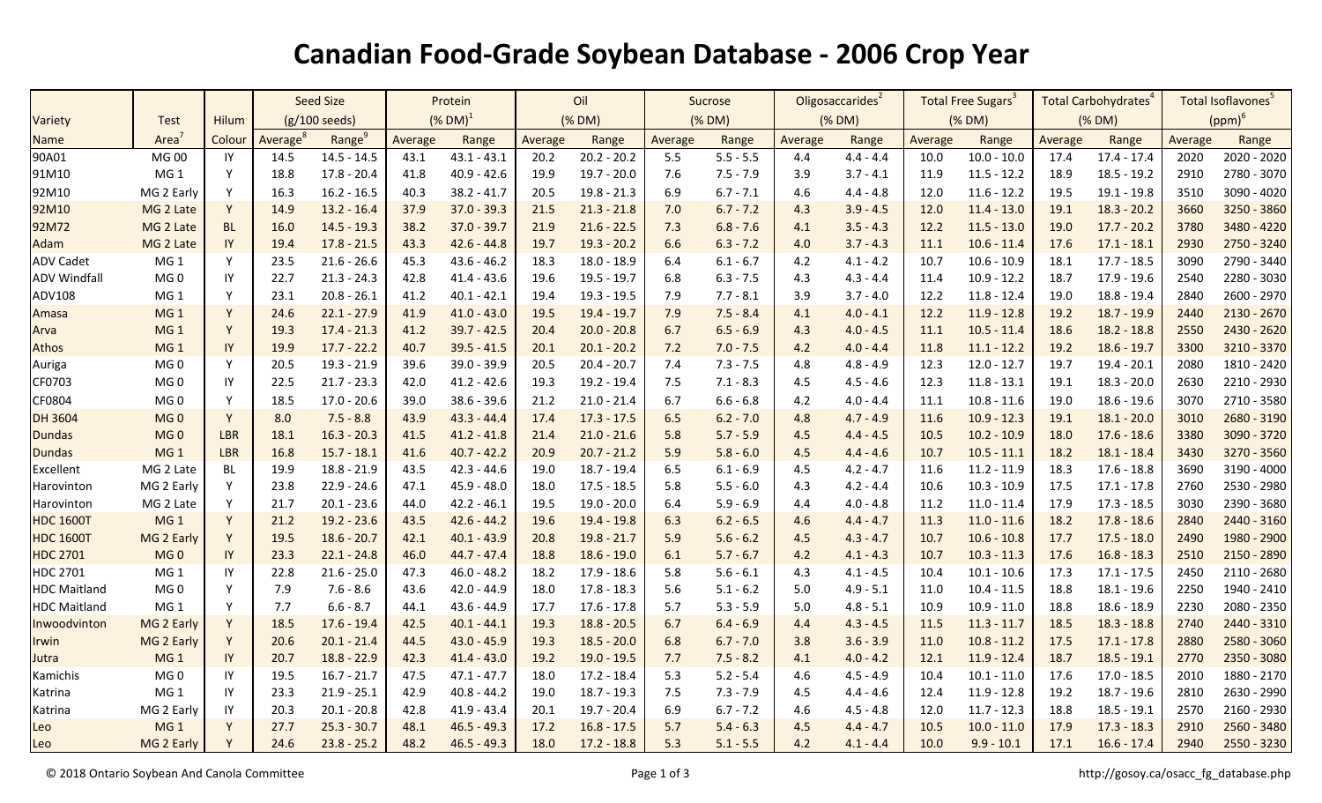## **Canadian Food-Grade Soybean Database - 2006 Crop Year**

|                     |                 |              | <b>Seed Size</b>        |                    | Protein                |               | Oil     |               | Sucrose |             | Oligosaccarides <sup>2</sup> |             | Total Free Sugars <sup>3</sup> |               | Total Carbohydrates <sup>4</sup> |               | Total Isoflavones <sup>5</sup> |             |
|---------------------|-----------------|--------------|-------------------------|--------------------|------------------------|---------------|---------|---------------|---------|-------------|------------------------------|-------------|--------------------------------|---------------|----------------------------------|---------------|--------------------------------|-------------|
| Variety             | <b>Test</b>     | <b>Hilum</b> | $(g/100 \text{ seeds})$ |                    | $(\%$ DM) <sup>1</sup> |               | (% DM)  |               | (% DM)  |             | (% DM)                       |             | (% DM)                         |               | (% DM)                           |               | $(ppm)^6$                      |             |
| Name                | Area            | Colour       | Average <sup>8</sup>    | Range <sup>9</sup> | Average                | Range         | Average | Range         | Average | Range       | Average                      | Range       | Average                        | Range         | Average                          | Range         | Average                        | Range       |
| 90A01               | MG 00           | IY           | 14.5                    | $14.5 - 14.5$      | 43.1                   | $43.1 - 43.1$ | 20.2    | $20.2 - 20.2$ | 5.5     | $5.5 - 5.5$ | 4.4                          | $4.4 - 4.4$ | 10.0                           | $10.0 - 10.0$ | 17.4                             | $17.4 - 17.4$ | 2020                           | 2020 - 2020 |
| 91M10               | MG <sub>1</sub> | Y            | 18.8                    | $17.8 - 20.4$      | 41.8                   | $40.9 - 42.6$ | 19.9    | $19.7 - 20.0$ | 7.6     | $7.5 - 7.9$ | 3.9                          | $3.7 - 4.1$ | 11.9                           | $11.5 - 12.2$ | 18.9                             | $18.5 - 19.2$ | 2910                           | 2780 - 3070 |
| 92M10               | MG 2 Early      | Y            | 16.3                    | $16.2 - 16.5$      | 40.3                   | $38.2 - 41.7$ | 20.5    | $19.8 - 21.3$ | 6.9     | $6.7 - 7.1$ | 4.6                          | $4.4 - 4.8$ | 12.0                           | $11.6 - 12.2$ | 19.5                             | $19.1 - 19.8$ | 3510                           | 3090 - 4020 |
| 92M10               | MG 2 Late       | Y            | 14.9                    | $13.2 - 16.4$      | 37.9                   | $37.0 - 39.3$ | 21.5    | $21.3 - 21.8$ | 7.0     | $6.7 - 7.2$ | 4.3                          | $3.9 - 4.5$ | 12.0                           | $11.4 - 13.0$ | 19.1                             | $18.3 - 20.2$ | 3660                           | 3250 - 3860 |
| 92M72               | MG 2 Late       | <b>BL</b>    | 16.0                    | $14.5 - 19.3$      | 38.2                   | $37.0 - 39.7$ | 21.9    | $21.6 - 22.5$ | 7.3     | $6.8 - 7.6$ | 4.1                          | $3.5 - 4.3$ | 12.2                           | $11.5 - 13.0$ | 19.0                             | $17.7 - 20.2$ | 3780                           | 3480 - 4220 |
| Adam                | MG 2 Late       | IY           | 19.4                    | $17.8 - 21.5$      | 43.3                   | $42.6 - 44.8$ | 19.7    | $19.3 - 20.2$ | 6.6     | $6.3 - 7.2$ | 4.0                          | $3.7 - 4.3$ | 11.1                           | $10.6 - 11.4$ | 17.6                             | $17.1 - 18.1$ | 2930                           | 2750 - 3240 |
| <b>ADV Cadet</b>    | MG <sub>1</sub> | Y            | 23.5                    | $21.6 - 26.6$      | 45.3                   | $43.6 - 46.2$ | 18.3    | $18.0 - 18.9$ | 6.4     | $6.1 - 6.7$ | 4.2                          | $4.1 - 4.2$ | 10.7                           | $10.6 - 10.9$ | 18.1                             | $17.7 - 18.5$ | 3090                           | 2790 - 3440 |
| <b>ADV Windfall</b> | MG <sub>0</sub> | IY           | 22.7                    | $21.3 - 24.3$      | 42.8                   | $41.4 - 43.6$ | 19.6    | $19.5 - 19.7$ | 6.8     | $6.3 - 7.5$ | 4.3                          | $4.3 - 4.4$ | 11.4                           | $10.9 - 12.2$ | 18.7                             | 17.9 - 19.6   | 2540                           | 2280 - 3030 |
| ADV108              | MG <sub>1</sub> | Y            | 23.1                    | $20.8 - 26.1$      | 41.2                   | $40.1 - 42.1$ | 19.4    | $19.3 - 19.5$ | 7.9     | $7.7 - 8.1$ | 3.9                          | $3.7 - 4.0$ | 12.2                           | $11.8 - 12.4$ | 19.0                             | 18.8 - 19.4   | 2840                           | 2600 - 2970 |
| Amasa               | MG <sub>1</sub> | Y            | 24.6                    | $22.1 - 27.9$      | 41.9                   | $41.0 - 43.0$ | 19.5    | $19.4 - 19.7$ | 7.9     | $7.5 - 8.4$ | 4.1                          | $4.0 - 4.1$ | 12.2                           | $11.9 - 12.8$ | 19.2                             | $18.7 - 19.9$ | 2440                           | 2130 - 2670 |
| Arva                | MG <sub>1</sub> | Y            | 19.3                    | $17.4 - 21.3$      | 41.2                   | $39.7 - 42.5$ | 20.4    | $20.0 - 20.8$ | 6.7     | $6.5 - 6.9$ | 4.3                          | $4.0 - 4.5$ | 11.1                           | $10.5 - 11.4$ | 18.6                             | $18.2 - 18.8$ | 2550                           | 2430 - 2620 |
| Athos               | MG <sub>1</sub> | IY           | 19.9                    | $17.7 - 22.2$      | 40.7                   | $39.5 - 41.5$ | 20.1    | $20.1 - 20.2$ | 7.2     | $7.0 - 7.5$ | 4.2                          | $4.0 - 4.4$ | 11.8                           | $11.1 - 12.2$ | 19.2                             | $18.6 - 19.7$ | 3300                           | 3210 - 3370 |
| Auriga              | MG <sub>0</sub> | Y            | 20.5                    | $19.3 - 21.9$      | 39.6                   | $39.0 - 39.9$ | 20.5    | $20.4 - 20.7$ | 7.4     | $7.3 - 7.5$ | 4.8                          | $4.8 - 4.9$ | 12.3                           | $12.0 - 12.7$ | 19.7                             | $19.4 - 20.1$ | 2080                           | 1810 - 2420 |
| CF0703              | MG <sub>0</sub> | -IY          | 22.5                    | $21.7 - 23.3$      | 42.0                   | $41.2 - 42.6$ | 19.3    | 19.2 - 19.4   | 7.5     | $7.1 - 8.3$ | 4.5                          | $4.5 - 4.6$ | 12.3                           | $11.8 - 13.1$ | 19.1                             | $18.3 - 20.0$ | 2630                           | 2210 - 2930 |
| CF0804              | MG <sub>0</sub> | Y            | 18.5                    | $17.0 - 20.6$      | 39.0                   | $38.6 - 39.6$ | 21.2    | $21.0 - 21.4$ | 6.7     | $6.6 - 6.8$ | 4.2                          | $4.0 - 4.4$ | 11.1                           | $10.8 - 11.6$ | 19.0                             | $18.6 - 19.6$ | 3070                           | 2710 - 3580 |
| <b>DH 3604</b>      | MG <sub>0</sub> | Y            | 8.0                     | $7.5 - 8.8$        | 43.9                   | $43.3 - 44.4$ | 17.4    | $17.3 - 17.5$ | 6.5     | $6.2 - 7.0$ | 4.8                          | $4.7 - 4.9$ | 11.6                           | $10.9 - 12.3$ | 19.1                             | $18.1 - 20.0$ | 3010                           | 2680 - 3190 |
| <b>Dundas</b>       | MG <sub>0</sub> | LBR          | 18.1                    | $16.3 - 20.3$      | 41.5                   | $41.2 - 41.8$ | 21.4    | $21.0 - 21.6$ | 5.8     | $5.7 - 5.9$ | 4.5                          | $4.4 - 4.5$ | 10.5                           | $10.2 - 10.9$ | 18.0                             | $17.6 - 18.6$ | 3380                           | 3090 - 3720 |
| <b>Dundas</b>       | MG <sub>1</sub> | LBR          | 16.8                    | $15.7 - 18.1$      | 41.6                   | $40.7 - 42.2$ | 20.9    | $20.7 - 21.2$ | 5.9     | $5.8 - 6.0$ | 4.5                          | $4.4 - 4.6$ | 10.7                           | $10.5 - 11.1$ | 18.2                             | $18.1 - 18.4$ | 3430                           | 3270 - 3560 |
| Excellent           | MG 2 Late       | <b>BL</b>    | 19.9                    | $18.8 - 21.9$      | 43.5                   | $42.3 - 44.6$ | 19.0    | $18.7 - 19.4$ | 6.5     | $6.1 - 6.9$ | 4.5                          | $4.2 - 4.7$ | 11.6                           | $11.2 - 11.9$ | 18.3                             | $17.6 - 18.8$ | 3690                           | 3190 - 4000 |
| Harovinton          | MG 2 Early      | Y            | 23.8                    | $22.9 - 24.6$      | 47.1                   | $45.9 - 48.0$ | 18.0    | $17.5 - 18.5$ | 5.8     | $5.5 - 6.0$ | 4.3                          | $4.2 - 4.4$ | 10.6                           | $10.3 - 10.9$ | 17.5                             | $17.1 - 17.8$ | 2760                           | 2530 - 2980 |
| Harovinton          | MG 2 Late       | Y            | 21.7                    | $20.1 - 23.6$      | 44.0                   | $42.2 - 46.1$ | 19.5    | $19.0 - 20.0$ | 6.4     | $5.9 - 6.9$ | 4.4                          | $4.0 - 4.8$ | 11.2                           | $11.0 - 11.4$ | 17.9                             | $17.3 - 18.5$ | 3030                           | 2390 - 3680 |
| <b>HDC 1600T</b>    | MG <sub>1</sub> | Y            | 21.2                    | $19.2 - 23.6$      | 43.5                   | $42.6 - 44.2$ | 19.6    | $19.4 - 19.8$ | 6.3     | $6.2 - 6.5$ | 4.6                          | $4.4 - 4.7$ | 11.3                           | $11.0 - 11.6$ | 18.2                             | $17.8 - 18.6$ | 2840                           | 2440 - 3160 |
| <b>HDC 1600T</b>    | MG 2 Early      | Y            | 19.5                    | $18.6 - 20.7$      | 42.1                   | $40.1 - 43.9$ | 20.8    | $19.8 - 21.7$ | 5.9     | $5.6 - 6.2$ | 4.5                          | $4.3 - 4.7$ | 10.7                           | $10.6 - 10.8$ | 17.7                             | $17.5 - 18.0$ | 2490                           | 1980 - 2900 |
| <b>HDC 2701</b>     | MG <sub>0</sub> | IY           | 23.3                    | $22.1 - 24.8$      | 46.0                   | $44.7 - 47.4$ | 18.8    | $18.6 - 19.0$ | 6.1     | $5.7 - 6.7$ | 4.2                          | $4.1 - 4.3$ | 10.7                           | $10.3 - 11.3$ | 17.6                             | $16.8 - 18.3$ | 2510                           | 2150 - 2890 |
| HDC 2701            | MG <sub>1</sub> | IY           | 22.8                    | $21.6 - 25.0$      | 47.3                   | $46.0 - 48.2$ | 18.2    | $17.9 - 18.6$ | 5.8     | $5.6 - 6.1$ | 4.3                          | $4.1 - 4.5$ | 10.4                           | $10.1 - 10.6$ | 17.3                             | $17.1 - 17.5$ | 2450                           | 2110 - 2680 |
| <b>HDC Maitland</b> | MG <sub>0</sub> | Y            | 7.9                     | $7.6 - 8.6$        | 43.6                   | $42.0 - 44.9$ | 18.0    | $17.8 - 18.3$ | 5.6     | $5.1 - 6.2$ | 5.0                          | $4.9 - 5.1$ | 11.0                           | $10.4 - 11.5$ | 18.8                             | $18.1 - 19.6$ | 2250                           | 1940 - 2410 |
| <b>HDC Maitland</b> | MG <sub>1</sub> | <b>Y</b>     | 7.7                     | $6.6 - 8.7$        | 44.1                   | $43.6 - 44.9$ | 17.7    | $17.6 - 17.8$ | 5.7     | $5.3 - 5.9$ | 5.0                          | $4.8 - 5.1$ | 10.9                           | $10.9 - 11.0$ | 18.8                             | $18.6 - 18.9$ | 2230                           | 2080 - 2350 |
| Inwoodvinton        | MG 2 Early      | Y            | 18.5                    | $17.6 - 19.4$      | 42.5                   | $40.1 - 44.1$ | 19.3    | $18.8 - 20.5$ | 6.7     | $6.4 - 6.9$ | 4.4                          | $4.3 - 4.5$ | 11.5                           | $11.3 - 11.7$ | 18.5                             | $18.3 - 18.8$ | 2740                           | 2440 - 3310 |
| Irwin               | MG 2 Early      | Y            | 20.6                    | $20.1 - 21.4$      | 44.5                   | $43.0 - 45.9$ | 19.3    | $18.5 - 20.0$ | 6.8     | $6.7 - 7.0$ | 3.8                          | $3.6 - 3.9$ | 11.0                           | $10.8 - 11.2$ | 17.5                             | $17.1 - 17.8$ | 2880                           | 2580 - 3060 |
| Jutra               | MG <sub>1</sub> | IY           | 20.7                    | $18.8 - 22.9$      | 42.3                   | $41.4 - 43.0$ | 19.2    | $19.0 - 19.5$ | 7.7     | $7.5 - 8.2$ | 4.1                          | $4.0 - 4.2$ | 12.1                           | $11.9 - 12.4$ | 18.7                             | $18.5 - 19.1$ | 2770                           | 2350 - 3080 |
| Kamichis            | MG <sub>0</sub> | IY           | 19.5                    | $16.7 - 21.7$      | 47.5                   | $47.1 - 47.7$ | 18.0    | $17.2 - 18.4$ | 5.3     | $5.2 - 5.4$ | 4.6                          | $4.5 - 4.9$ | 10.4                           | $10.1 - 11.0$ | 17.6                             | $17.0 - 18.5$ | 2010                           | 1880 - 2170 |
| Katrina             | MG <sub>1</sub> | IY           | 23.3                    | $21.9 - 25.1$      | 42.9                   | $40.8 - 44.2$ | 19.0    | $18.7 - 19.3$ | 7.5     | $7.3 - 7.9$ | 4.5                          | $4.4 - 4.6$ | 12.4                           | $11.9 - 12.8$ | 19.2                             | $18.7 - 19.6$ | 2810                           | 2630 - 2990 |
| Katrina             | MG 2 Early      | IY           | 20.3                    | $20.1 - 20.8$      | 42.8                   | $41.9 - 43.4$ | 20.1    | $19.7 - 20.4$ | 6.9     | $6.7 - 7.2$ | 4.6                          | $4.5 - 4.8$ | 12.0                           | $11.7 - 12.3$ | 18.8                             | $18.5 - 19.1$ | 2570                           | 2160 - 2930 |
| Leo                 | MG <sub>1</sub> | Y            | 27.7                    | $25.3 - 30.7$      | 48.1                   | $46.5 - 49.3$ | 17.2    | $16.8 - 17.5$ | 5.7     | $5.4 - 6.3$ | 4.5                          | $4.4 - 4.7$ | 10.5                           | $10.0 - 11.0$ | 17.9                             | $17.3 - 18.3$ | 2910                           | 2560 - 3480 |
| Leo                 | MG 2 Early      | Y            | 24.6                    | $23.8 - 25.2$      | 48.2                   | $46.5 - 49.3$ | 18.0    | $17.2 - 18.8$ | 5.3     | $5.1 - 5.5$ | 4.2                          | $4.1 - 4.4$ | 10.0                           | $9.9 - 10.1$  | 17.1                             | $16.6 - 17.4$ | 2940                           | 2550 - 3230 |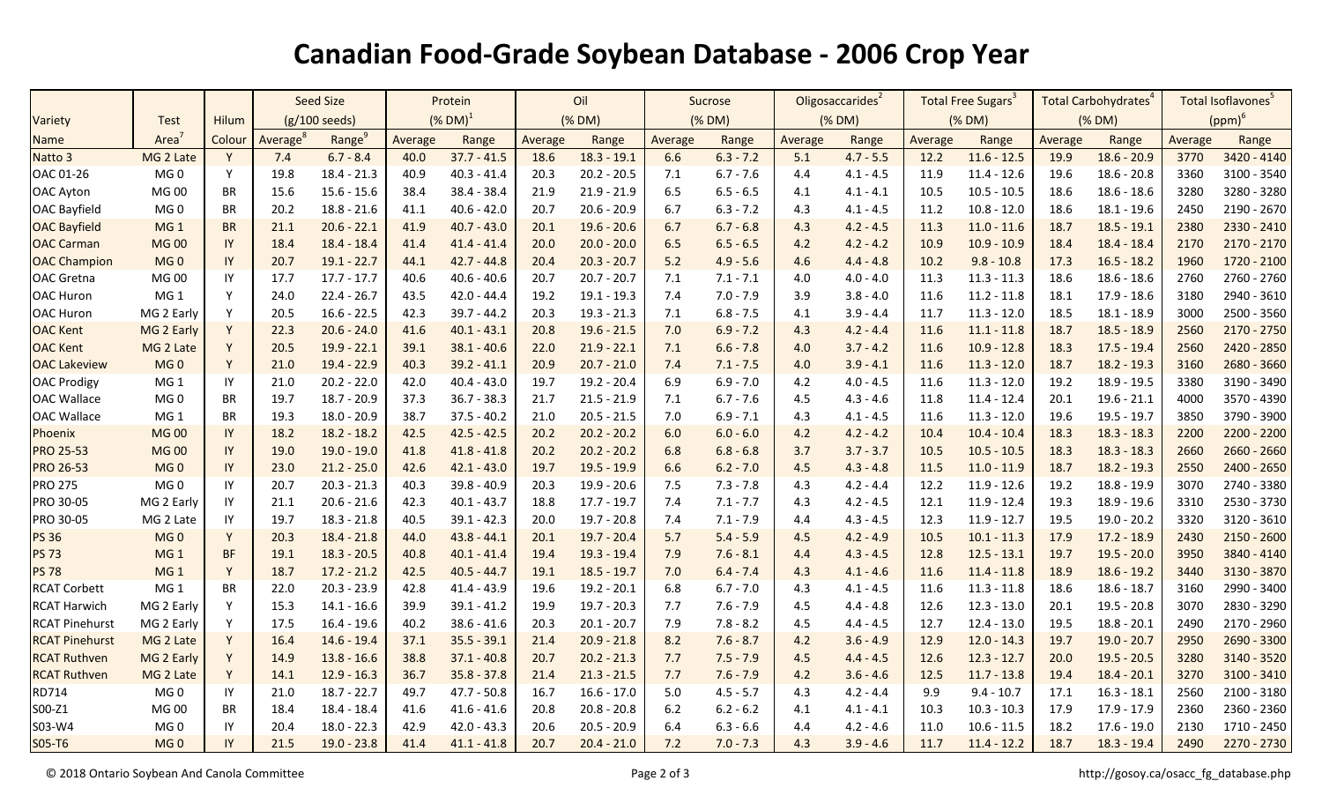## **Canadian Food-Grade Soybean Database - 2006 Crop Year**

|                       |                   |              | <b>Seed Size</b>        |                    | Protein        |               | Oil     |               | Sucrose |             | Oligosaccarides <sup>2</sup> |             | Total Free Sugars <sup>3</sup> |               | Total Carbohydrates <sup>4</sup> |               | Total Isoflavones <sup>5</sup> |               |
|-----------------------|-------------------|--------------|-------------------------|--------------------|----------------|---------------|---------|---------------|---------|-------------|------------------------------|-------------|--------------------------------|---------------|----------------------------------|---------------|--------------------------------|---------------|
| Variety               | <b>Test</b>       | Hilum        | $(g/100 \text{ seeds})$ |                    | $($ % DM $)^1$ |               | (% DM)  |               |         | (% DM)      | (% DM)                       |             | (% DM)                         |               | (% DM)                           |               | $(ppm)^6$                      |               |
| Name                  | Area <sup>'</sup> | Colour       | Average <sup>o</sup>    | Range <sup>9</sup> | Average        | Range         | Average | Range         | Average | Range       | Average                      | Range       | Average                        | Range         | Average                          | Range         | Average                        | Range         |
| Natto 3               | MG 2 Late         | Y            | 7.4                     | $6.7 - 8.4$        | 40.0           | $37.7 - 41.5$ | 18.6    | $18.3 - 19.1$ | 6.6     | $6.3 - 7.2$ | 5.1                          | $4.7 - 5.5$ | 12.2                           | $11.6 - 12.5$ | 19.9                             | $18.6 - 20.9$ | 3770                           | 3420 - 4140   |
| OAC 01-26             | MG <sub>0</sub>   | Y            | 19.8                    | $18.4 - 21.3$      | 40.9           | $40.3 - 41.4$ | 20.3    | $20.2 - 20.5$ | 7.1     | $6.7 - 7.6$ | 4.4                          | $4.1 - 4.5$ | 11.9                           | $11.4 - 12.6$ | 19.6                             | $18.6 - 20.8$ | 3360                           | 3100 - 3540   |
| OAC Ayton             | MG 00             | BR           | 15.6                    | $15.6 - 15.6$      | 38.4           | $38.4 - 38.4$ | 21.9    | $21.9 - 21.9$ | 6.5     | $6.5 - 6.5$ | 4.1                          | $4.1 - 4.1$ | 10.5                           | $10.5 - 10.5$ | 18.6                             | $18.6 - 18.6$ | 3280                           | 3280 - 3280   |
| <b>OAC Bayfield</b>   | MG <sub>0</sub>   | BR           | 20.2                    | $18.8 - 21.6$      | 41.1           | $40.6 - 42.0$ | 20.7    | $20.6 - 20.9$ | 6.7     | $6.3 - 7.2$ | 4.3                          | $4.1 - 4.5$ | 11.2                           | $10.8 - 12.0$ | 18.6                             | $18.1 - 19.6$ | 2450                           | 2190 - 2670   |
| <b>OAC Bayfield</b>   | MG <sub>1</sub>   | <b>BR</b>    | 21.1                    | $20.6 - 22.1$      | 41.9           | $40.7 - 43.0$ | 20.1    | $19.6 - 20.6$ | 6.7     | $6.7 - 6.8$ | 4.3                          | $4.2 - 4.5$ | 11.3                           | $11.0 - 11.6$ | 18.7                             | $18.5 - 19.1$ | 2380                           | 2330 - 2410   |
| <b>OAC Carman</b>     | <b>MG00</b>       | IY           | 18.4                    | $18.4 - 18.4$      | 41.4           | $41.4 - 41.4$ | 20.0    | $20.0 - 20.0$ | 6.5     | $6.5 - 6.5$ | 4.2                          | $4.2 - 4.2$ | 10.9                           | $10.9 - 10.9$ | 18.4                             | $18.4 - 18.4$ | 2170                           | 2170 - 2170   |
| <b>OAC Champion</b>   | MG <sub>0</sub>   | IY           | 20.7                    | $19.1 - 22.7$      | 44.1           | $42.7 - 44.8$ | 20.4    | $20.3 - 20.7$ | 5.2     | $4.9 - 5.6$ | 4.6                          | $4.4 - 4.8$ | 10.2                           | $9.8 - 10.8$  | 17.3                             | $16.5 - 18.2$ | 1960                           | 1720 - 2100   |
| OAC Gretna            | <b>MG00</b>       | IY           | 17.7                    | $17.7 - 17.7$      | 40.6           | $40.6 - 40.6$ | 20.7    | $20.7 - 20.7$ | 7.1     | $7.1 - 7.1$ | 4.0                          | $4.0 - 4.0$ | 11.3                           | $11.3 - 11.3$ | 18.6                             | $18.6 - 18.6$ | 2760                           | 2760 - 2760   |
| <b>OAC Huron</b>      | MG <sub>1</sub>   | Y            | 24.0                    | $22.4 - 26.7$      | 43.5           | $42.0 - 44.4$ | 19.2    | $19.1 - 19.3$ | 7.4     | $7.0 - 7.9$ | 3.9                          | $3.8 - 4.0$ | 11.6                           | $11.2 - 11.8$ | 18.1                             | $17.9 - 18.6$ | 3180                           | 2940 - 3610   |
| OAC Huron             | MG 2 Early        | Y            | 20.5                    | $16.6 - 22.5$      | 42.3           | $39.7 - 44.2$ | 20.3    | $19.3 - 21.3$ | 7.1     | $6.8 - 7.5$ | 4.1                          | $3.9 - 4.4$ | 11.7                           | $11.3 - 12.0$ | 18.5                             | $18.1 - 18.9$ | 3000                           | 2500 - 3560   |
| <b>OAC Kent</b>       | MG 2 Early        | Y            | 22.3                    | $20.6 - 24.0$      | 41.6           | $40.1 - 43.1$ | 20.8    | $19.6 - 21.5$ | 7.0     | $6.9 - 7.2$ | 4.3                          | $4.2 - 4.4$ | 11.6                           | $11.1 - 11.8$ | 18.7                             | $18.5 - 18.9$ | 2560                           | 2170 - 2750   |
| <b>OAC Kent</b>       | MG 2 Late         | <sup>Y</sup> | 20.5                    | $19.9 - 22.1$      | 39.1           | $38.1 - 40.6$ | 22.0    | $21.9 - 22.1$ | 7.1     | $6.6 - 7.8$ | 4.0                          | $3.7 - 4.2$ | 11.6                           | $10.9 - 12.8$ | 18.3                             | $17.5 - 19.4$ | 2560                           | 2420 - 2850   |
| <b>OAC Lakeview</b>   | MG <sub>0</sub>   | Y            | 21.0                    | $19.4 - 22.9$      | 40.3           | $39.2 - 41.1$ | 20.9    | $20.7 - 21.0$ | 7.4     | $7.1 - 7.5$ | 4.0                          | $3.9 - 4.1$ | 11.6                           | $11.3 - 12.0$ | 18.7                             | $18.2 - 19.3$ | 3160                           | 2680 - 3660   |
| <b>OAC Prodigy</b>    | MG <sub>1</sub>   | IY           | 21.0                    | $20.2 - 22.0$      | 42.0           | $40.4 - 43.0$ | 19.7    | $19.2 - 20.4$ | 6.9     | $6.9 - 7.0$ | 4.2                          | $4.0 - 4.5$ | 11.6                           | $11.3 - 12.0$ | 19.2                             | 18.9 - 19.5   | 3380                           | 3190 - 3490   |
| <b>OAC Wallace</b>    | MG <sub>0</sub>   | <b>BR</b>    | 19.7                    | $18.7 - 20.9$      | 37.3           | $36.7 - 38.3$ | 21.7    | $21.5 - 21.9$ | 7.1     | $6.7 - 7.6$ | 4.5                          | $4.3 - 4.6$ | 11.8                           | $11.4 - 12.4$ | 20.1                             | $19.6 - 21.1$ | 4000                           | 3570 - 4390   |
| <b>OAC Wallace</b>    | MG <sub>1</sub>   | <b>BR</b>    | 19.3                    | $18.0 - 20.9$      | 38.7           | $37.5 - 40.2$ | 21.0    | $20.5 - 21.5$ | 7.0     | $6.9 - 7.1$ | 4.3                          | $4.1 - 4.5$ | 11.6                           | $11.3 - 12.0$ | 19.6                             | $19.5 - 19.7$ | 3850                           | 3790 - 3900   |
| Phoenix               | <b>MG00</b>       | IY           | 18.2                    | $18.2 - 18.2$      | 42.5           | $42.5 - 42.5$ | 20.2    | $20.2 - 20.2$ | 6.0     | $6.0 - 6.0$ | 4.2                          | $4.2 - 4.2$ | 10.4                           | $10.4 - 10.4$ | 18.3                             | $18.3 - 18.3$ | 2200                           | 2200 - 2200   |
| <b>PRO 25-53</b>      | <b>MG00</b>       | IY           | 19.0                    | $19.0 - 19.0$      | 41.8           | $41.8 - 41.8$ | 20.2    | $20.2 - 20.2$ | 6.8     | $6.8 - 6.8$ | 3.7                          | $3.7 - 3.7$ | 10.5                           | $10.5 - 10.5$ | 18.3                             | $18.3 - 18.3$ | 2660                           | $2660 - 2660$ |
| <b>PRO 26-53</b>      | MG <sub>0</sub>   | IY           | 23.0                    | $21.2 - 25.0$      | 42.6           | $42.1 - 43.0$ | 19.7    | $19.5 - 19.9$ | 6.6     | $6.2 - 7.0$ | 4.5                          | $4.3 - 4.8$ | 11.5                           | $11.0 - 11.9$ | 18.7                             | $18.2 - 19.3$ | 2550                           | 2400 - 2650   |
| <b>PRO 275</b>        | MG <sub>0</sub>   | IY           | 20.7                    | $20.3 - 21.3$      | 40.3           | $39.8 - 40.9$ | 20.3    | 19.9 - 20.6   | 7.5     | $7.3 - 7.8$ | 4.3                          | $4.2 - 4.4$ | 12.2                           | $11.9 - 12.6$ | 19.2                             | 18.8 - 19.9   | 3070                           | 2740 - 3380   |
| PRO 30-05             | MG 2 Early        | IY           | 21.1                    | $20.6 - 21.6$      | 42.3           | $40.1 - 43.7$ | 18.8    | $17.7 - 19.7$ | 7.4     | $7.1 - 7.7$ | 4.3                          | $4.2 - 4.5$ | 12.1                           | $11.9 - 12.4$ | 19.3                             | $18.9 - 19.6$ | 3310                           | 2530 - 3730   |
| PRO 30-05             | MG 2 Late         | IY           | 19.7                    | $18.3 - 21.8$      | 40.5           | $39.1 - 42.3$ | 20.0    | $19.7 - 20.8$ | 7.4     | $7.1 - 7.9$ | 4.4                          | $4.3 - 4.5$ | 12.3                           | $11.9 - 12.7$ | 19.5                             | $19.0 - 20.2$ | 3320                           | 3120 - 3610   |
| <b>PS 36</b>          | MG <sub>0</sub>   | Y            | 20.3                    | $18.4 - 21.8$      | 44.0           | $43.8 - 44.1$ | 20.1    | $19.7 - 20.4$ | 5.7     | $5.4 - 5.9$ | 4.5                          | $4.2 - 4.9$ | 10.5                           | $10.1 - 11.3$ | 17.9                             | $17.2 - 18.9$ | 2430                           | $2150 - 2600$ |
| <b>PS 73</b>          | MG <sub>1</sub>   | <b>BF</b>    | 19.1                    | $18.3 - 20.5$      | 40.8           | $40.1 - 41.4$ | 19.4    | $19.3 - 19.4$ | 7.9     | $7.6 - 8.1$ | 4.4                          | $4.3 - 4.5$ | 12.8                           | $12.5 - 13.1$ | 19.7                             | $19.5 - 20.0$ | 3950                           | 3840 - 4140   |
| <b>PS 78</b>          | MG <sub>1</sub>   | <sup>Y</sup> | 18.7                    | $17.2 - 21.2$      | 42.5           | $40.5 - 44.7$ | 19.1    | $18.5 - 19.7$ | 7.0     | $6.4 - 7.4$ | 4.3                          | $4.1 - 4.6$ | 11.6                           | $11.4 - 11.8$ | 18.9                             | $18.6 - 19.2$ | 3440                           | 3130 - 3870   |
| <b>RCAT Corbett</b>   | MG <sub>1</sub>   | <b>BR</b>    | 22.0                    | $20.3 - 23.9$      | 42.8           | $41.4 - 43.9$ | 19.6    | $19.2 - 20.1$ | 6.8     | $6.7 - 7.0$ | 4.3                          | $4.1 - 4.5$ | 11.6                           | $11.3 - 11.8$ | 18.6                             | $18.6 - 18.7$ | 3160                           | 2990 - 3400   |
| <b>RCAT Harwich</b>   | MG 2 Early        | <sup>V</sup> | 15.3                    | 14.1 - 16.6        | 39.9           | $39.1 - 41.2$ | 19.9    | $19.7 - 20.3$ | 7.7     | $7.6 - 7.9$ | 4.5                          | $4.4 - 4.8$ | 12.6                           | $12.3 - 13.0$ | 20.1                             | $19.5 - 20.8$ | 3070                           | 2830 - 3290   |
| <b>RCAT Pinehurst</b> | MG 2 Early        | <sup>Y</sup> | 17.5                    | $16.4 - 19.6$      | 40.2           | $38.6 - 41.6$ | 20.3    | $20.1 - 20.7$ | 7.9     | $7.8 - 8.2$ | 4.5                          | $4.4 - 4.5$ | 12.7                           | $12.4 - 13.0$ | 19.5                             | $18.8 - 20.1$ | 2490                           | 2170 - 2960   |
| <b>RCAT Pinehurst</b> | MG 2 Late         | Y            | 16.4                    | $14.6 - 19.4$      | 37.1           | $35.5 - 39.1$ | 21.4    | $20.9 - 21.8$ | 8.2     | $7.6 - 8.7$ | 4.2                          | $3.6 - 4.9$ | 12.9                           | $12.0 - 14.3$ | 19.7                             | $19.0 - 20.7$ | 2950                           | 2690 - 3300   |
| <b>RCAT Ruthven</b>   | MG 2 Early        | Y            | 14.9                    | $13.8 - 16.6$      | 38.8           | $37.1 - 40.8$ | 20.7    | $20.2 - 21.3$ | 7.7     | $7.5 - 7.9$ | 4.5                          | $4.4 - 4.5$ | 12.6                           | $12.3 - 12.7$ | 20.0                             | $19.5 - 20.5$ | 3280                           | 3140 - 3520   |
| <b>RCAT Ruthven</b>   | MG 2 Late         | <sup>Y</sup> | 14.1                    | $12.9 - 16.3$      | 36.7           | $35.8 - 37.8$ | 21.4    | $21.3 - 21.5$ | 7.7     | $7.6 - 7.9$ | 4.2                          | $3.6 - 4.6$ | 12.5                           | $11.7 - 13.8$ | 19.4                             | $18.4 - 20.1$ | 3270                           | 3100 - 3410   |
| RD714                 | MG <sub>0</sub>   | IY           | 21.0                    | $18.7 - 22.7$      | 49.7           | $47.7 - 50.8$ | 16.7    | $16.6 - 17.0$ | 5.0     | $4.5 - 5.7$ | 4.3                          | $4.2 - 4.4$ | 9.9                            | $9.4 - 10.7$  | 17.1                             | $16.3 - 18.1$ | 2560                           | 2100 - 3180   |
| S00-Z1                | MG 00             | BR           | 18.4                    | 18.4 - 18.4        | 41.6           | $41.6 - 41.6$ | 20.8    | $20.8 - 20.8$ | $6.2$   | $6.2 - 6.2$ | 4.1                          | $4.1 - 4.1$ | 10.3                           | $10.3 - 10.3$ | 17.9                             | 17.9 - 17.9   | 2360                           | 2360 - 2360   |
| S03-W4                | MG <sub>0</sub>   | IY           | 20.4                    | $18.0 - 22.3$      | 42.9           | $42.0 - 43.3$ | 20.6    | $20.5 - 20.9$ | 6.4     | $6.3 - 6.6$ | 4.4                          | $4.2 - 4.6$ | 11.0                           | $10.6 - 11.5$ | 18.2                             | $17.6 - 19.0$ | 2130                           | 1710 - 2450   |
| S05-T6                | MG <sub>0</sub>   | IY           | 21.5                    | $19.0 - 23.8$      | 41.4           | $41.1 - 41.8$ | 20.7    | $20.4 - 21.0$ | 7.2     | $7.0 - 7.3$ | 4.3                          | $3.9 - 4.6$ | 11.7                           | $11.4 - 12.2$ | 18.7                             | $18.3 - 19.4$ | 2490                           | 2270 - 2730   |